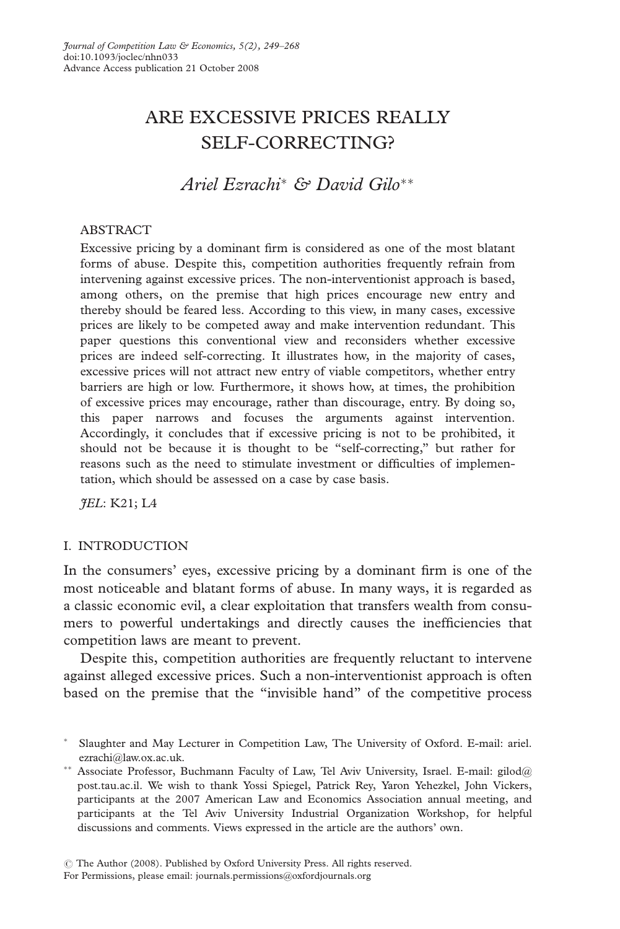# ARE EXCESSIVE PRICES REALLY SELF-CORRECTING?

Ariel Ezrachi\* & David Gilo\*\*

#### ABSTRACT

Excessive pricing by a dominant firm is considered as one of the most blatant forms of abuse. Despite this, competition authorities frequently refrain from intervening against excessive prices. The non-interventionist approach is based, among others, on the premise that high prices encourage new entry and thereby should be feared less. According to this view, in many cases, excessive prices are likely to be competed away and make intervention redundant. This paper questions this conventional view and reconsiders whether excessive prices are indeed self-correcting. It illustrates how, in the majority of cases, excessive prices will not attract new entry of viable competitors, whether entry barriers are high or low. Furthermore, it shows how, at times, the prohibition of excessive prices may encourage, rather than discourage, entry. By doing so, this paper narrows and focuses the arguments against intervention. Accordingly, it concludes that if excessive pricing is not to be prohibited, it should not be because it is thought to be "self-correcting," but rather for reasons such as the need to stimulate investment or difficulties of implementation, which should be assessed on a case by case basis.

JEL: K21; L4

# I. INTRODUCTION

In the consumers' eyes, excessive pricing by a dominant firm is one of the most noticeable and blatant forms of abuse. In many ways, it is regarded as a classic economic evil, a clear exploitation that transfers wealth from consumers to powerful undertakings and directly causes the inefficiencies that competition laws are meant to prevent.

Despite this, competition authorities are frequently reluctant to intervene against alleged excessive prices. Such a non-interventionist approach is often based on the premise that the "invisible hand" of the competitive process

<sup>-</sup> Slaughter and May Lecturer in Competition Law, The University of Oxford. E-mail: ariel. ezrachi@law.ox.ac.uk.

<sup>\*\*</sup> Associate Professor, Buchmann Faculty of Law, Tel Aviv University, Israel. E-mail: gilod@ post.tau.ac.il. We wish to thank Yossi Spiegel, Patrick Rey, Yaron Yehezkel, John Vickers, participants at the 2007 American Law and Economics Association annual meeting, and participants at the Tel Aviv University Industrial Organization Workshop, for helpful discussions and comments. Views expressed in the article are the authors' own.

 $\odot$  The Author (2008). Published by Oxford University Press. All rights reserved.

For Permissions, please email: journals.permissions@oxfordjournals.org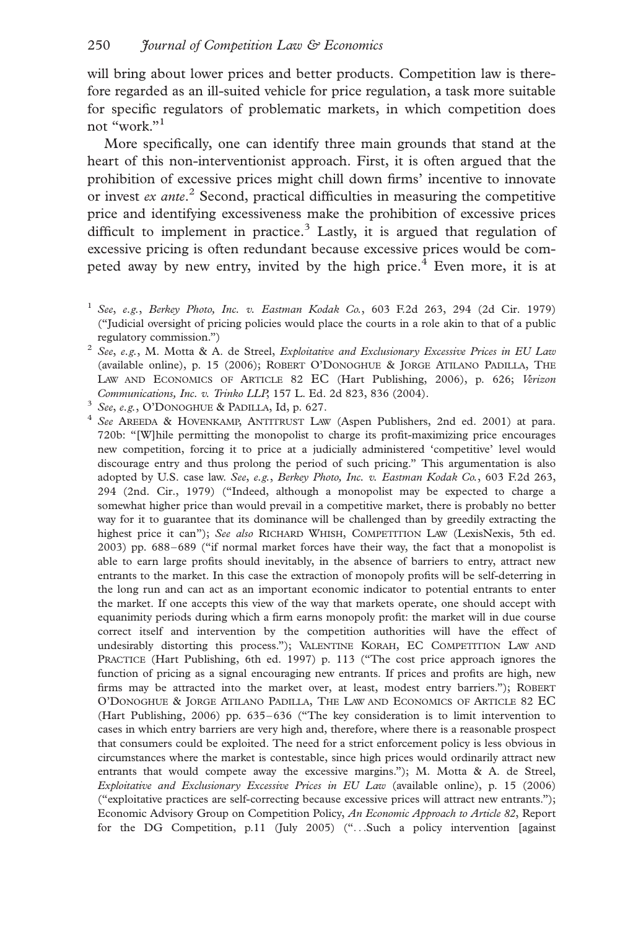will bring about lower prices and better products. Competition law is therefore regarded as an ill-suited vehicle for price regulation, a task more suitable for specific regulators of problematic markets, in which competition does not "work."<sup>1</sup>

More specifically, one can identify three main grounds that stand at the heart of this non-interventionist approach. First, it is often argued that the prohibition of excessive prices might chill down firms' incentive to innovate or invest ex ante.<sup>2</sup> Second, practical difficulties in measuring the competitive price and identifying excessiveness make the prohibition of excessive prices difficult to implement in practice.<sup>3</sup> Lastly, it is argued that regulation of excessive pricing is often redundant because excessive prices would be competed away by new entry, invited by the high price.<sup>4</sup> Even more, it is at

- $2$  See, e.g., M. Motta & A. de Streel, Exploitative and Exclusionary Excessive Prices in EU Law (available online), p. 15 (2006); ROBERT O'DONOGHUE & JORGE ATILANO PADILLA, THE LAW AND ECONOMICS OF ARTICLE 82 EC (Hart Publishing, 2006), p. 626; Verizon Communications, Inc. v. Trinko LLP, 157 L. Ed. 2d 823, 836 (2004). See, e.g., O'DONOGHUE & PADILLA, Id, p. 627.
- 
- See AREEDA & HOVENKAMP, ANTITRUST LAW (Aspen Publishers, 2nd ed. 2001) at para. 720b: "[W]hile permitting the monopolist to charge its profit-maximizing price encourages new competition, forcing it to price at a judicially administered 'competitive' level would discourage entry and thus prolong the period of such pricing." This argumentation is also adopted by U.S. case law. See, e.g., Berkey Photo, Inc. v. Eastman Kodak Co., 603 F.2d 263, 294 (2nd. Cir., 1979) ("Indeed, although a monopolist may be expected to charge a somewhat higher price than would prevail in a competitive market, there is probably no better way for it to guarantee that its dominance will be challenged than by greedily extracting the highest price it can"); See also RICHARD WHISH, COMPETITION LAW (LexisNexis, 5th ed. 2003) pp. 688–689 ("if normal market forces have their way, the fact that a monopolist is able to earn large profits should inevitably, in the absence of barriers to entry, attract new entrants to the market. In this case the extraction of monopoly profits will be self-deterring in the long run and can act as an important economic indicator to potential entrants to enter the market. If one accepts this view of the way that markets operate, one should accept with equanimity periods during which a firm earns monopoly profit: the market will in due course correct itself and intervention by the competition authorities will have the effect of undesirably distorting this process."); VALENTINE KORAH, EC COMPETITION LAW AND PRACTICE (Hart Publishing, 6th ed. 1997) p. 113 ("The cost price approach ignores the function of pricing as a signal encouraging new entrants. If prices and profits are high, new firms may be attracted into the market over, at least, modest entry barriers."); ROBERT O'DONOGHUE & JORGE ATILANO PADILLA, THE LAW AND ECONOMICS OF ARTICLE 82 EC (Hart Publishing, 2006) pp. 635–636 ("The key consideration is to limit intervention to cases in which entry barriers are very high and, therefore, where there is a reasonable prospect that consumers could be exploited. The need for a strict enforcement policy is less obvious in circumstances where the market is contestable, since high prices would ordinarily attract new entrants that would compete away the excessive margins."); M. Motta & A. de Streel, Exploitative and Exclusionary Excessive Prices in EU Law (available online), p. 15 (2006) ("exploitative practices are self-correcting because excessive prices will attract new entrants."); Economic Advisory Group on Competition Policy, An Economic Approach to Article 82, Report for the DG Competition, p.11 (July 2005) ("...Such a policy intervention [against

<sup>&</sup>lt;sup>1</sup> See, e.g., Berkey Photo, Inc. v. Eastman Kodak Co., 603 F.2d 263, 294 (2d Cir. 1979) ("Judicial oversight of pricing policies would place the courts in a role akin to that of a public regulatory commission.")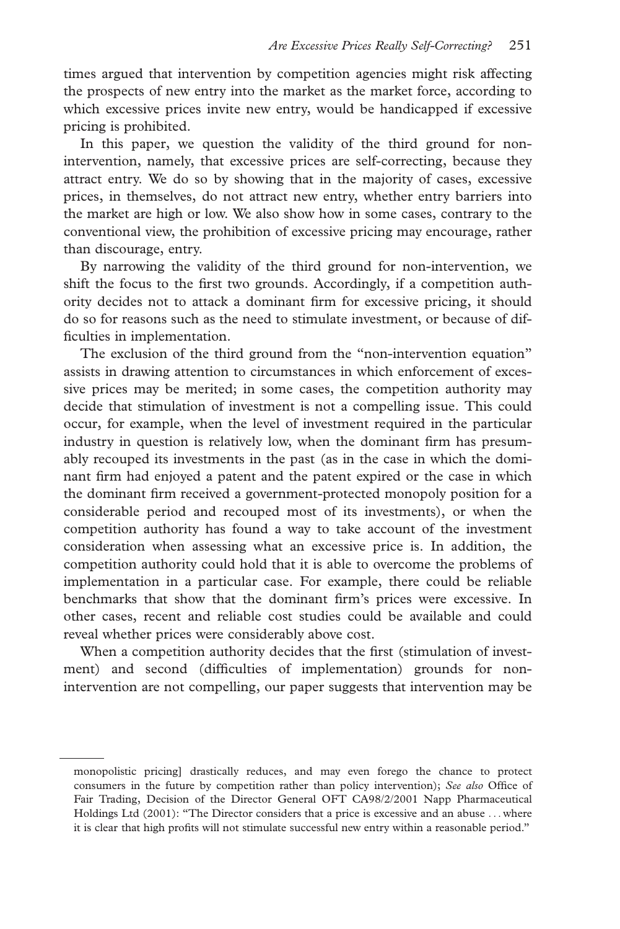times argued that intervention by competition agencies might risk affecting the prospects of new entry into the market as the market force, according to which excessive prices invite new entry, would be handicapped if excessive pricing is prohibited.

In this paper, we question the validity of the third ground for nonintervention, namely, that excessive prices are self-correcting, because they attract entry. We do so by showing that in the majority of cases, excessive prices, in themselves, do not attract new entry, whether entry barriers into the market are high or low. We also show how in some cases, contrary to the conventional view, the prohibition of excessive pricing may encourage, rather than discourage, entry.

By narrowing the validity of the third ground for non-intervention, we shift the focus to the first two grounds. Accordingly, if a competition authority decides not to attack a dominant firm for excessive pricing, it should do so for reasons such as the need to stimulate investment, or because of difficulties in implementation.

The exclusion of the third ground from the "non-intervention equation" assists in drawing attention to circumstances in which enforcement of excessive prices may be merited; in some cases, the competition authority may decide that stimulation of investment is not a compelling issue. This could occur, for example, when the level of investment required in the particular industry in question is relatively low, when the dominant firm has presumably recouped its investments in the past (as in the case in which the dominant firm had enjoyed a patent and the patent expired or the case in which the dominant firm received a government-protected monopoly position for a considerable period and recouped most of its investments), or when the competition authority has found a way to take account of the investment consideration when assessing what an excessive price is. In addition, the competition authority could hold that it is able to overcome the problems of implementation in a particular case. For example, there could be reliable benchmarks that show that the dominant firm's prices were excessive. In other cases, recent and reliable cost studies could be available and could reveal whether prices were considerably above cost.

When a competition authority decides that the first (stimulation of investment) and second (difficulties of implementation) grounds for nonintervention are not compelling, our paper suggests that intervention may be

monopolistic pricing] drastically reduces, and may even forego the chance to protect consumers in the future by competition rather than policy intervention); See also Office of Fair Trading, Decision of the Director General OFT CA98/2/2001 Napp Pharmaceutical Holdings Ltd (2001): "The Director considers that a price is excessive and an abuse ... where it is clear that high profits will not stimulate successful new entry within a reasonable period."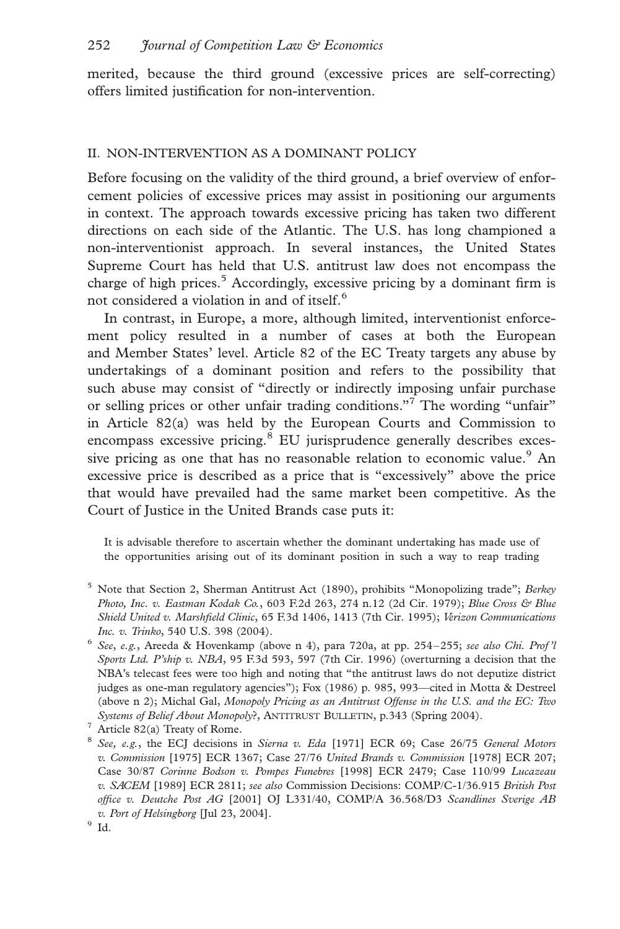merited, because the third ground (excessive prices are self-correcting) offers limited justification for non-intervention.

# II. NON-INTERVENTION AS A DOMINANT POLICY

Before focusing on the validity of the third ground, a brief overview of enforcement policies of excessive prices may assist in positioning our arguments in context. The approach towards excessive pricing has taken two different directions on each side of the Atlantic. The U.S. has long championed a non-interventionist approach. In several instances, the United States Supreme Court has held that U.S. antitrust law does not encompass the charge of high prices.<sup>5</sup> Accordingly, excessive pricing by a dominant firm is not considered a violation in and of itself.<sup>6</sup>

In contrast, in Europe, a more, although limited, interventionist enforcement policy resulted in a number of cases at both the European and Member States' level. Article 82 of the EC Treaty targets any abuse by undertakings of a dominant position and refers to the possibility that such abuse may consist of "directly or indirectly imposing unfair purchase or selling prices or other unfair trading conditions."<sup>7</sup> The wording "unfair" in Article 82(a) was held by the European Courts and Commission to encompass excessive pricing.<sup>8</sup> EU jurisprudence generally describes excessive pricing as one that has no reasonable relation to economic value.<sup>9</sup> An excessive price is described as a price that is "excessively" above the price that would have prevailed had the same market been competitive. As the Court of Justice in the United Brands case puts it:

It is advisable therefore to ascertain whether the dominant undertaking has made use of the opportunities arising out of its dominant position in such a way to reap trading

<sup>&</sup>lt;sup>5</sup> Note that Section 2, Sherman Antitrust Act (1890), prohibits "Monopolizing trade"; Berkey Photo, Inc. v. Eastman Kodak Co., 603 F.2d 263, 274 n.12 (2d Cir. 1979); Blue Cross & Blue Shield United v. Marshfield Clinic, 65 F.3d 1406, 1413 (7th Cir. 1995); Verizon Communications Inc. v. Trinko, 540 U.S. 398 (2004).

 $^6$  See, e.g., Areeda & Hovenkamp (above n 4), para 720a, at pp. 254-255; see also Chi. Prof'l Sports Ltd. P'ship v. NBA, 95 F.3d 593, 597 (7th Cir. 1996) (overturning a decision that the NBA's telecast fees were too high and noting that "the antitrust laws do not deputize district judges as one-man regulatory agencies"); Fox (1986) p. 985, 993—cited in Motta & Destreel (above n 2); Michal Gal, Monopoly Pricing as an Antitrust Offense in the U.S. and the EC: Two Systems of Belief About Monopoly?, ANTITRUST BULLETIN, p.343 (Spring 2004). $^7\,$  Article 82(a) Treaty of Rome.

<sup>&</sup>lt;sup>8</sup> See, e.g., the ECJ decisions in Sierna v. Eda [1971] ECR 69; Case 26/75 General Motors v. Commission [1975] ECR 1367; Case 27/76 United Brands v. Commission [1978] ECR 207; Case 30/87 Corinne Bodson v. Pompes Funebres [1998] ECR 2479; Case 110/99 Lucazeau v. SACEM [1989] ECR 2811; see also Commission Decisions: COMP/C-1/36.915 British Post office v. Deutche Post AG [2001] OJ L331/40, COMP/A 36.568/D3 Scandlines Sverige AB v. Port of Helsingborg [Jul 23, 2004].

 $^9$  Id.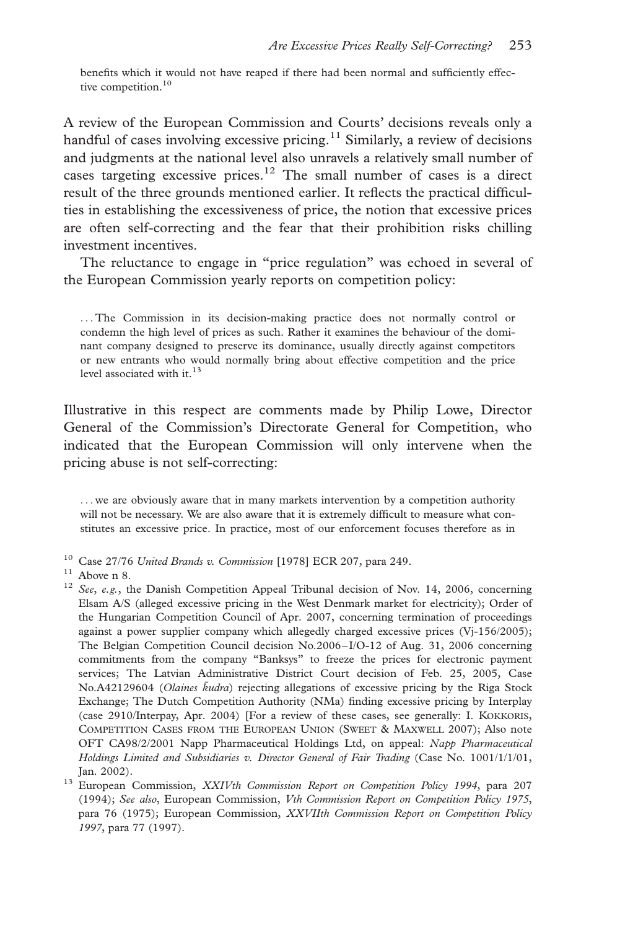benefits which it would not have reaped if there had been normal and sufficiently effective competition.<sup>10</sup>

A review of the European Commission and Courts' decisions reveals only a handful of cases involving excessive pricing. $11$  Similarly, a review of decisions and judgments at the national level also unravels a relatively small number of cases targeting excessive prices.<sup>12</sup> The small number of cases is a direct result of the three grounds mentioned earlier. It reflects the practical difficulties in establishing the excessiveness of price, the notion that excessive prices are often self-correcting and the fear that their prohibition risks chilling investment incentives.

The reluctance to engage in "price regulation" was echoed in several of the European Commission yearly reports on competition policy:

... The Commission in its decision-making practice does not normally control or condemn the high level of prices as such. Rather it examines the behaviour of the dominant company designed to preserve its dominance, usually directly against competitors or new entrants who would normally bring about effective competition and the price level associated with it.<sup>13</sup>

Illustrative in this respect are comments made by Philip Lowe, Director General of the Commission's Directorate General for Competition, who indicated that the European Commission will only intervene when the pricing abuse is not self-correcting:

... we are obviously aware that in many markets intervention by a competition authority will not be necessary. We are also aware that it is extremely difficult to measure what constitutes an excessive price. In practice, most of our enforcement focuses therefore as in

<sup>&</sup>lt;sup>10</sup> Case 27/76 United Brands v. Commission [1978] ECR 207, para 249.<br><sup>11</sup> Above n 8.

 $12$  See, e.g., the Danish Competition Appeal Tribunal decision of Nov. 14, 2006, concerning Elsam A/S (alleged excessive pricing in the West Denmark market for electricity); Order of the Hungarian Competition Council of Apr. 2007, concerning termination of proceedings against a power supplier company which allegedly charged excessive prices (Vj-156/2005); The Belgian Competition Council decision No.2006–I/O-12 of Aug. 31, 2006 concerning commitments from the company "Banksys" to freeze the prices for electronic payment services; The Latvian Administrative District Court decision of Feb. 25, 2005, Case No.A42129604 (Olaines kudra) rejecting allegations of excessive pricing by the Riga Stock Exchange; The Dutch Competition Authority (NMa) finding excessive pricing by Interplay (case 2910/Interpay, Apr. 2004) [For a review of these cases, see generally: I. KOKKORIS, COMPETITION CASES FROM THE EUROPEAN UNION (SWEET & MAXWELL 2007); Also note OFT CA98/2/2001 Napp Pharmaceutical Holdings Ltd, on appeal: Napp Pharmaceutical Holdings Limited and Subsidiaries v. Director General of Fair Trading (Case No. 1001/1/1/01, Jan. 2002).

<sup>&</sup>lt;sup>13</sup> European Commission, XXIVth Commission Report on Competition Policy 1994, para 207 (1994); See also, European Commission, Vth Commission Report on Competition Policy 1975, para 76 (1975); European Commission, XXVIIth Commission Report on Competition Policy 1997, para 77 (1997).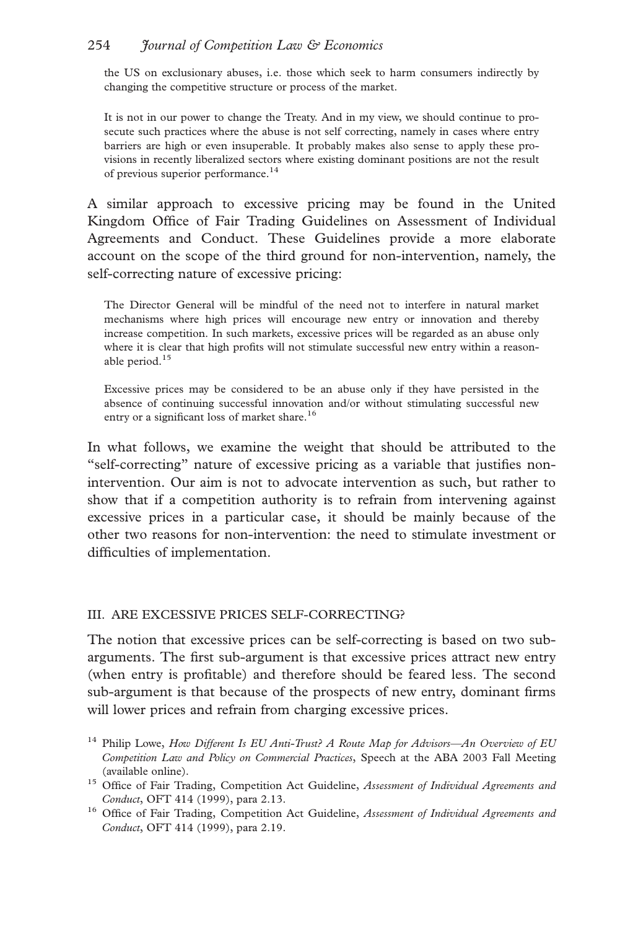the US on exclusionary abuses, i.e. those which seek to harm consumers indirectly by changing the competitive structure or process of the market.

It is not in our power to change the Treaty. And in my view, we should continue to prosecute such practices where the abuse is not self correcting, namely in cases where entry barriers are high or even insuperable. It probably makes also sense to apply these provisions in recently liberalized sectors where existing dominant positions are not the result of previous superior performance.<sup>14</sup>

A similar approach to excessive pricing may be found in the United Kingdom Office of Fair Trading Guidelines on Assessment of Individual Agreements and Conduct. These Guidelines provide a more elaborate account on the scope of the third ground for non-intervention, namely, the self-correcting nature of excessive pricing:

The Director General will be mindful of the need not to interfere in natural market mechanisms where high prices will encourage new entry or innovation and thereby increase competition. In such markets, excessive prices will be regarded as an abuse only where it is clear that high profits will not stimulate successful new entry within a reasonable period.<sup>15</sup>

Excessive prices may be considered to be an abuse only if they have persisted in the absence of continuing successful innovation and/or without stimulating successful new entry or a significant loss of market share.<sup>16</sup>

In what follows, we examine the weight that should be attributed to the "self-correcting" nature of excessive pricing as a variable that justifies nonintervention. Our aim is not to advocate intervention as such, but rather to show that if a competition authority is to refrain from intervening against excessive prices in a particular case, it should be mainly because of the other two reasons for non-intervention: the need to stimulate investment or difficulties of implementation.

#### III. ARE EXCESSIVE PRICES SELF-CORRECTING?

The notion that excessive prices can be self-correcting is based on two subarguments. The first sub-argument is that excessive prices attract new entry (when entry is profitable) and therefore should be feared less. The second sub-argument is that because of the prospects of new entry, dominant firms will lower prices and refrain from charging excessive prices.

<sup>&</sup>lt;sup>14</sup> Philip Lowe, How Different Is EU Anti-Trust? A Route Map for Advisors—An Overview of EU Competition Law and Policy on Commercial Practices, Speech at the ABA 2003 Fall Meeting (available online).

<sup>&</sup>lt;sup>15</sup> Office of Fair Trading, Competition Act Guideline, Assessment of Individual Agreements and Conduct, OFT 414 (1999), para 2.13.

<sup>&</sup>lt;sup>16</sup> Office of Fair Trading, Competition Act Guideline, Assessment of Individual Agreements and Conduct, OFT 414 (1999), para 2.19.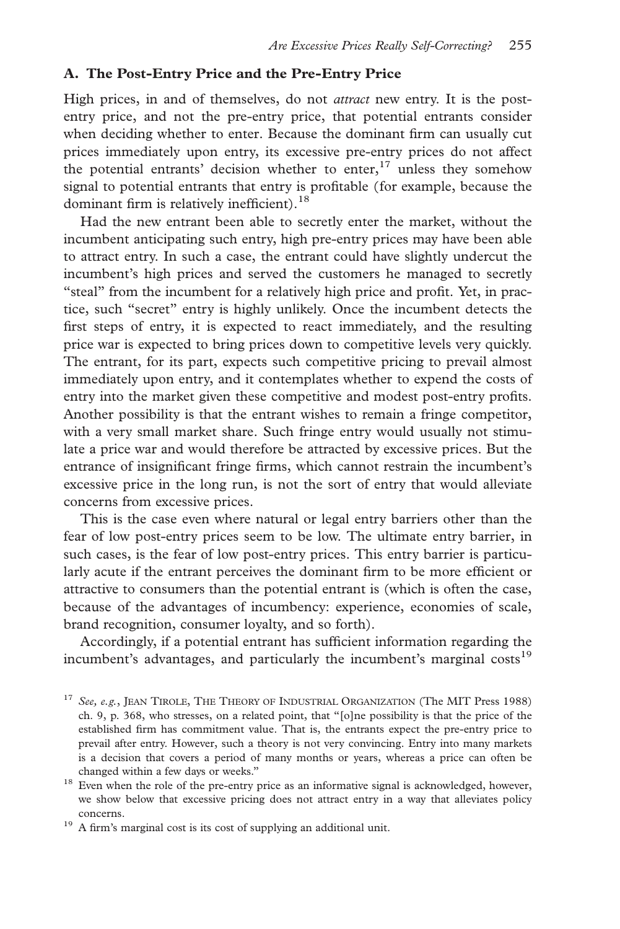#### A. The Post-Entry Price and the Pre-Entry Price

High prices, in and of themselves, do not *attract* new entry. It is the postentry price, and not the pre-entry price, that potential entrants consider when deciding whether to enter. Because the dominant firm can usually cut prices immediately upon entry, its excessive pre-entry prices do not affect the potential entrants' decision whether to enter,  $17$  unless they somehow signal to potential entrants that entry is profitable (for example, because the dominant firm is relatively inefficient).<sup>18</sup>

Had the new entrant been able to secretly enter the market, without the incumbent anticipating such entry, high pre-entry prices may have been able to attract entry. In such a case, the entrant could have slightly undercut the incumbent's high prices and served the customers he managed to secretly "steal" from the incumbent for a relatively high price and profit. Yet, in practice, such "secret" entry is highly unlikely. Once the incumbent detects the first steps of entry, it is expected to react immediately, and the resulting price war is expected to bring prices down to competitive levels very quickly. The entrant, for its part, expects such competitive pricing to prevail almost immediately upon entry, and it contemplates whether to expend the costs of entry into the market given these competitive and modest post-entry profits. Another possibility is that the entrant wishes to remain a fringe competitor, with a very small market share. Such fringe entry would usually not stimulate a price war and would therefore be attracted by excessive prices. But the entrance of insignificant fringe firms, which cannot restrain the incumbent's excessive price in the long run, is not the sort of entry that would alleviate concerns from excessive prices.

This is the case even where natural or legal entry barriers other than the fear of low post-entry prices seem to be low. The ultimate entry barrier, in such cases, is the fear of low post-entry prices. This entry barrier is particularly acute if the entrant perceives the dominant firm to be more efficient or attractive to consumers than the potential entrant is (which is often the case, because of the advantages of incumbency: experience, economies of scale, brand recognition, consumer loyalty, and so forth).

Accordingly, if a potential entrant has sufficient information regarding the incumbent's advantages, and particularly the incumbent's marginal  $costs<sup>19</sup>$ 

 $17$  See, e.g., JEAN TIROLE, THE THEORY OF INDUSTRIAL ORGANIZATION (The MIT Press 1988) ch. 9, p. 368, who stresses, on a related point, that "[o]ne possibility is that the price of the established firm has commitment value. That is, the entrants expect the pre-entry price to prevail after entry. However, such a theory is not very convincing. Entry into many markets is a decision that covers a period of many months or years, whereas a price can often be changed within a few days or weeks."

 $18$  Even when the role of the pre-entry price as an informative signal is acknowledged, however, we show below that excessive pricing does not attract entry in a way that alleviates policy concerns.

<sup>&</sup>lt;sup>19</sup> A firm's marginal cost is its cost of supplying an additional unit.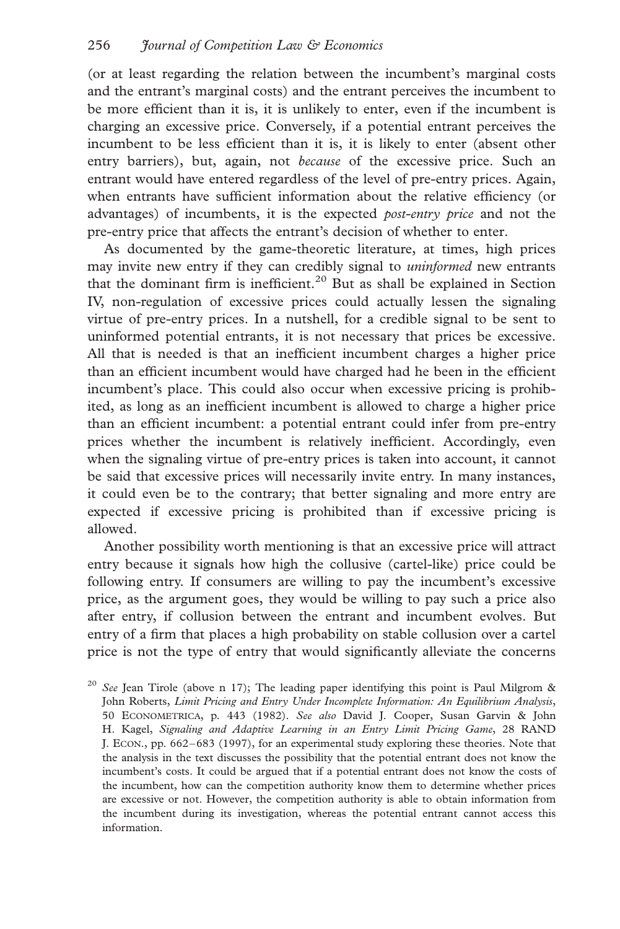(or at least regarding the relation between the incumbent's marginal costs and the entrant's marginal costs) and the entrant perceives the incumbent to be more efficient than it is, it is unlikely to enter, even if the incumbent is charging an excessive price. Conversely, if a potential entrant perceives the incumbent to be less efficient than it is, it is likely to enter (absent other entry barriers), but, again, not because of the excessive price. Such an entrant would have entered regardless of the level of pre-entry prices. Again, when entrants have sufficient information about the relative efficiency (or advantages) of incumbents, it is the expected post-entry price and not the pre-entry price that affects the entrant's decision of whether to enter.

As documented by the game-theoretic literature, at times, high prices may invite new entry if they can credibly signal to *uninformed* new entrants that the dominant firm is inefficient.<sup>20</sup> But as shall be explained in Section IV, non-regulation of excessive prices could actually lessen the signaling virtue of pre-entry prices. In a nutshell, for a credible signal to be sent to uninformed potential entrants, it is not necessary that prices be excessive. All that is needed is that an inefficient incumbent charges a higher price than an efficient incumbent would have charged had he been in the efficient incumbent's place. This could also occur when excessive pricing is prohibited, as long as an inefficient incumbent is allowed to charge a higher price than an efficient incumbent: a potential entrant could infer from pre-entry prices whether the incumbent is relatively inefficient. Accordingly, even when the signaling virtue of pre-entry prices is taken into account, it cannot be said that excessive prices will necessarily invite entry. In many instances, it could even be to the contrary; that better signaling and more entry are expected if excessive pricing is prohibited than if excessive pricing is allowed.

Another possibility worth mentioning is that an excessive price will attract entry because it signals how high the collusive (cartel-like) price could be following entry. If consumers are willing to pay the incumbent's excessive price, as the argument goes, they would be willing to pay such a price also after entry, if collusion between the entrant and incumbent evolves. But entry of a firm that places a high probability on stable collusion over a cartel price is not the type of entry that would significantly alleviate the concerns

<sup>&</sup>lt;sup>20</sup> See Jean Tirole (above n 17); The leading paper identifying this point is Paul Milgrom & John Roberts, Limit Pricing and Entry Under Incomplete Information: An Equilibrium Analysis, 50 ECONOMETRICA, p. 443 (1982). See also David J. Cooper, Susan Garvin & John H. Kagel, Signaling and Adaptive Learning in an Entry Limit Pricing Game, 28 RAND J. ECON., pp. 662–683 (1997), for an experimental study exploring these theories. Note that the analysis in the text discusses the possibility that the potential entrant does not know the incumbent's costs. It could be argued that if a potential entrant does not know the costs of the incumbent, how can the competition authority know them to determine whether prices are excessive or not. However, the competition authority is able to obtain information from the incumbent during its investigation, whereas the potential entrant cannot access this information.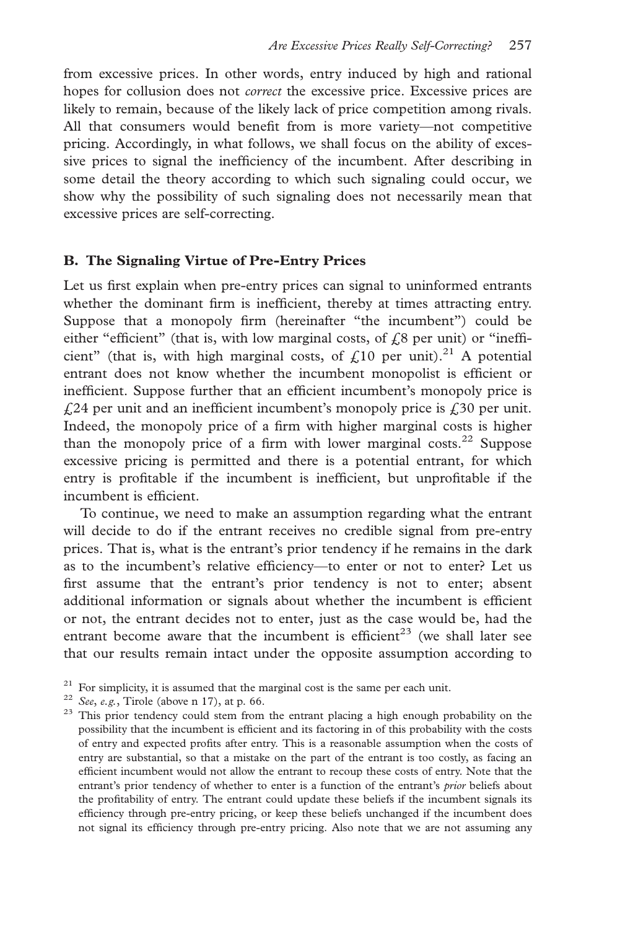from excessive prices. In other words, entry induced by high and rational hopes for collusion does not *correct* the excessive price. Excessive prices are likely to remain, because of the likely lack of price competition among rivals. All that consumers would benefit from is more variety—not competitive pricing. Accordingly, in what follows, we shall focus on the ability of excessive prices to signal the inefficiency of the incumbent. After describing in some detail the theory according to which such signaling could occur, we show why the possibility of such signaling does not necessarily mean that excessive prices are self-correcting.

#### B. The Signaling Virtue of Pre-Entry Prices

Let us first explain when pre-entry prices can signal to uninformed entrants whether the dominant firm is inefficient, thereby at times attracting entry. Suppose that a monopoly firm (hereinafter "the incumbent") could be either "efficient" (that is, with low marginal costs, of  $f<sub>i</sub>$  8 per unit) or "inefficient" (that is, with high marginal costs, of  $f<sub>i</sub>$ , 10 per unit).<sup>21</sup> A potential entrant does not know whether the incumbent monopolist is efficient or inefficient. Suppose further that an efficient incumbent's monopoly price is  $f<sub>1</sub>24$  per unit and an inefficient incumbent's monopoly price is  $f<sub>1</sub>30$  per unit. Indeed, the monopoly price of a firm with higher marginal costs is higher than the monopoly price of a firm with lower marginal costs.<sup>22</sup> Suppose excessive pricing is permitted and there is a potential entrant, for which entry is profitable if the incumbent is inefficient, but unprofitable if the incumbent is efficient.

To continue, we need to make an assumption regarding what the entrant will decide to do if the entrant receives no credible signal from pre-entry prices. That is, what is the entrant's prior tendency if he remains in the dark as to the incumbent's relative efficiency—to enter or not to enter? Let us first assume that the entrant's prior tendency is not to enter; absent additional information or signals about whether the incumbent is efficient or not, the entrant decides not to enter, just as the case would be, had the entrant become aware that the incumbent is efficient<sup>23</sup> (we shall later see that our results remain intact under the opposite assumption according to

<sup>&</sup>lt;sup>21</sup> For simplicity, it is assumed that the marginal cost is the same per each unit.<br><sup>22</sup> See, e.g., Tirole (above n 17), at p. 66.

<sup>&</sup>lt;sup>23</sup> This prior tendency could stem from the entrant placing a high enough probability on the possibility that the incumbent is efficient and its factoring in of this probability with the costs of entry and expected profits after entry. This is a reasonable assumption when the costs of entry are substantial, so that a mistake on the part of the entrant is too costly, as facing an efficient incumbent would not allow the entrant to recoup these costs of entry. Note that the entrant's prior tendency of whether to enter is a function of the entrant's prior beliefs about the profitability of entry. The entrant could update these beliefs if the incumbent signals its efficiency through pre-entry pricing, or keep these beliefs unchanged if the incumbent does not signal its efficiency through pre-entry pricing. Also note that we are not assuming any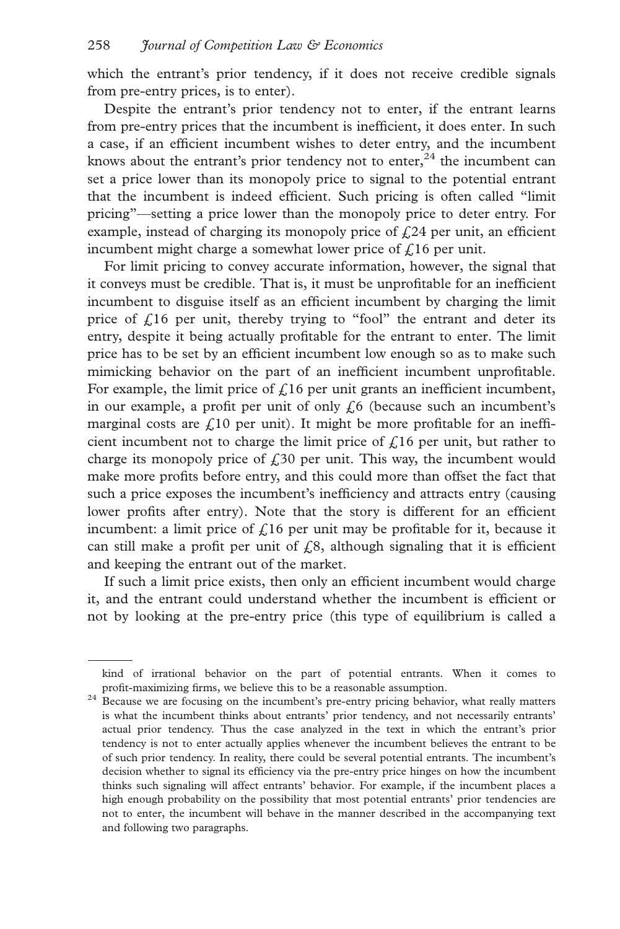which the entrant's prior tendency, if it does not receive credible signals from pre-entry prices, is to enter).

Despite the entrant's prior tendency not to enter, if the entrant learns from pre-entry prices that the incumbent is inefficient, it does enter. In such a case, if an efficient incumbent wishes to deter entry, and the incumbent knows about the entrant's prior tendency not to enter,  $24$  the incumbent can set a price lower than its monopoly price to signal to the potential entrant that the incumbent is indeed efficient. Such pricing is often called "limit pricing"—setting a price lower than the monopoly price to deter entry. For example, instead of charging its monopoly price of  $\text{\emph{L}}24$  per unit, an efficient incumbent might charge a somewhat lower price of  $f<sub>i</sub>16$  per unit.

For limit pricing to convey accurate information, however, the signal that it conveys must be credible. That is, it must be unprofitable for an inefficient incumbent to disguise itself as an efficient incumbent by charging the limit price of  $\zeta$ 16 per unit, thereby trying to "fool" the entrant and deter its entry, despite it being actually profitable for the entrant to enter. The limit price has to be set by an efficient incumbent low enough so as to make such mimicking behavior on the part of an inefficient incumbent unprofitable. For example, the limit price of  $f<sub>i</sub>16$  per unit grants an inefficient incumbent, in our example, a profit per unit of only  $\ell$ , 6 (because such an incumbent's marginal costs are  $\hat{f}$  10 per unit). It might be more profitable for an inefficient incumbent not to charge the limit price of  $f<sub>16</sub>$  per unit, but rather to charge its monopoly price of  $f<sub>i</sub>30$  per unit. This way, the incumbent would make more profits before entry, and this could more than offset the fact that such a price exposes the incumbent's inefficiency and attracts entry (causing lower profits after entry). Note that the story is different for an efficient incumbent: a limit price of  $\mathcal{L}$ 16 per unit may be profitable for it, because it can still make a profit per unit of  $f(8)$ , although signaling that it is efficient and keeping the entrant out of the market.

If such a limit price exists, then only an efficient incumbent would charge it, and the entrant could understand whether the incumbent is efficient or not by looking at the pre-entry price (this type of equilibrium is called a

kind of irrational behavior on the part of potential entrants. When it comes to

profit-maximizing firms, we believe this to be a reasonable assumption. <sup>24</sup> Because we are focusing on the incumbent's pre-entry pricing behavior, what really matters is what the incumbent thinks about entrants' prior tendency, and not necessarily entrants' actual prior tendency. Thus the case analyzed in the text in which the entrant's prior tendency is not to enter actually applies whenever the incumbent believes the entrant to be of such prior tendency. In reality, there could be several potential entrants. The incumbent's decision whether to signal its efficiency via the pre-entry price hinges on how the incumbent thinks such signaling will affect entrants' behavior. For example, if the incumbent places a high enough probability on the possibility that most potential entrants' prior tendencies are not to enter, the incumbent will behave in the manner described in the accompanying text and following two paragraphs.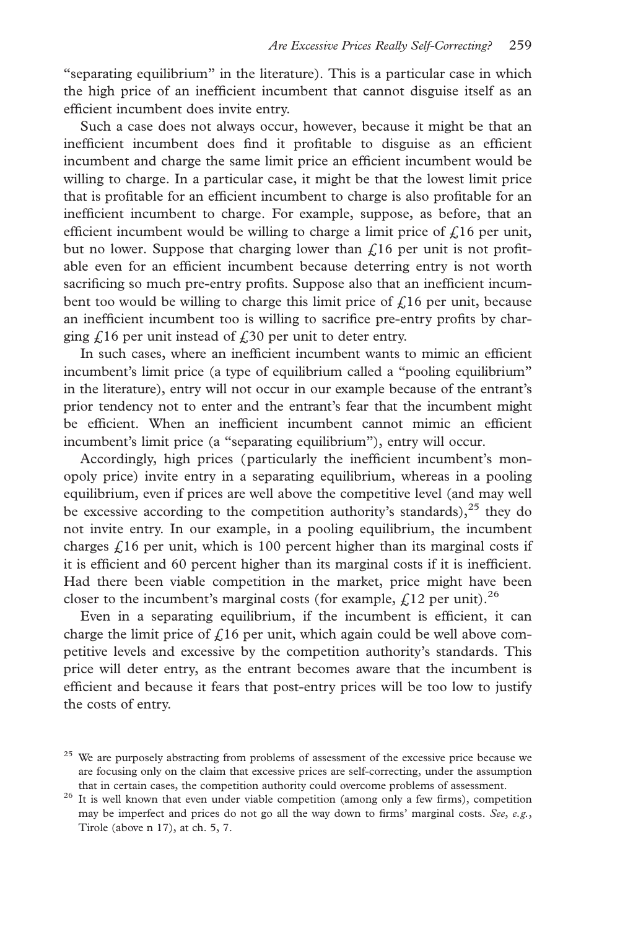"separating equilibrium" in the literature). This is a particular case in which the high price of an inefficient incumbent that cannot disguise itself as an efficient incumbent does invite entry.

Such a case does not always occur, however, because it might be that an inefficient incumbent does find it profitable to disguise as an efficient incumbent and charge the same limit price an efficient incumbent would be willing to charge. In a particular case, it might be that the lowest limit price that is profitable for an efficient incumbent to charge is also profitable for an inefficient incumbent to charge. For example, suppose, as before, that an efficient incumbent would be willing to charge a limit price of  $\zeta$ 16 per unit, but no lower. Suppose that charging lower than  $f<sub>16</sub>$  per unit is not profitable even for an efficient incumbent because deterring entry is not worth sacrificing so much pre-entry profits. Suppose also that an inefficient incumbent too would be willing to charge this limit price of  $f<sub>i</sub>16$  per unit, because an inefficient incumbent too is willing to sacrifice pre-entry profits by charging  $\ell$ , 16 per unit instead of  $\ell$ , 30 per unit to deter entry.

In such cases, where an inefficient incumbent wants to mimic an efficient incumbent's limit price (a type of equilibrium called a "pooling equilibrium" in the literature), entry will not occur in our example because of the entrant's prior tendency not to enter and the entrant's fear that the incumbent might be efficient. When an inefficient incumbent cannot mimic an efficient incumbent's limit price (a "separating equilibrium"), entry will occur.

Accordingly, high prices (particularly the inefficient incumbent's monopoly price) invite entry in a separating equilibrium, whereas in a pooling equilibrium, even if prices are well above the competitive level (and may well be excessive according to the competition authority's standards),  $2^5$  they do not invite entry. In our example, in a pooling equilibrium, the incumbent charges  $\ell$ , 16 per unit, which is 100 percent higher than its marginal costs if it is efficient and 60 percent higher than its marginal costs if it is inefficient. Had there been viable competition in the market, price might have been closer to the incumbent's marginal costs (for example,  $f<sub>i</sub>$ , 12 per unit).<sup>26</sup>

Even in a separating equilibrium, if the incumbent is efficient, it can charge the limit price of  $f<sub>i</sub>16$  per unit, which again could be well above competitive levels and excessive by the competition authority's standards. This price will deter entry, as the entrant becomes aware that the incumbent is efficient and because it fears that post-entry prices will be too low to justify the costs of entry.

<sup>&</sup>lt;sup>25</sup> We are purposely abstracting from problems of assessment of the excessive price because we are focusing only on the claim that excessive prices are self-correcting, under the assumption

that in certain cases, the competition authority could overcome problems of assessment. <sup>26</sup> It is well known that even under viable competition (among only a few firms), competition may be imperfect and prices do not go all the way down to firms' marginal costs. See,  $e.g.,$ Tirole (above n 17), at ch. 5, 7.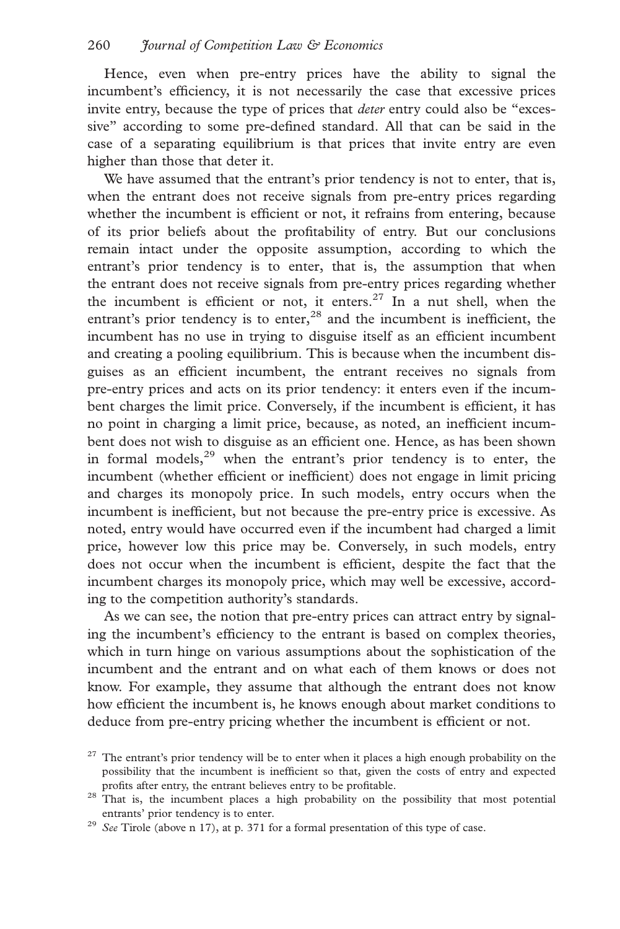Hence, even when pre-entry prices have the ability to signal the incumbent's efficiency, it is not necessarily the case that excessive prices invite entry, because the type of prices that *deter* entry could also be "excessive" according to some pre-defined standard. All that can be said in the case of a separating equilibrium is that prices that invite entry are even higher than those that deter it.

We have assumed that the entrant's prior tendency is not to enter, that is, when the entrant does not receive signals from pre-entry prices regarding whether the incumbent is efficient or not, it refrains from entering, because of its prior beliefs about the profitability of entry. But our conclusions remain intact under the opposite assumption, according to which the entrant's prior tendency is to enter, that is, the assumption that when the entrant does not receive signals from pre-entry prices regarding whether the incumbent is efficient or not, it enters.<sup>27</sup> In a nut shell, when the entrant's prior tendency is to enter, $28$  and the incumbent is inefficient, the incumbent has no use in trying to disguise itself as an efficient incumbent and creating a pooling equilibrium. This is because when the incumbent disguises as an efficient incumbent, the entrant receives no signals from pre-entry prices and acts on its prior tendency: it enters even if the incumbent charges the limit price. Conversely, if the incumbent is efficient, it has no point in charging a limit price, because, as noted, an inefficient incumbent does not wish to disguise as an efficient one. Hence, as has been shown in formal models, $29$  when the entrant's prior tendency is to enter, the incumbent (whether efficient or inefficient) does not engage in limit pricing and charges its monopoly price. In such models, entry occurs when the incumbent is inefficient, but not because the pre-entry price is excessive. As noted, entry would have occurred even if the incumbent had charged a limit price, however low this price may be. Conversely, in such models, entry does not occur when the incumbent is efficient, despite the fact that the incumbent charges its monopoly price, which may well be excessive, according to the competition authority's standards.

As we can see, the notion that pre-entry prices can attract entry by signaling the incumbent's efficiency to the entrant is based on complex theories, which in turn hinge on various assumptions about the sophistication of the incumbent and the entrant and on what each of them knows or does not know. For example, they assume that although the entrant does not know how efficient the incumbent is, he knows enough about market conditions to deduce from pre-entry pricing whether the incumbent is efficient or not.

 $27$  The entrant's prior tendency will be to enter when it places a high enough probability on the possibility that the incumbent is inefficient so that, given the costs of entry and expected

profits after entry, the entrant believes entry to be profitable. <sup>28</sup> That is, the incumbent places a high probability on the possibility that most potential entrants' prior tendency is to enter.

 $29$  See Tirole (above n 17), at p. 371 for a formal presentation of this type of case.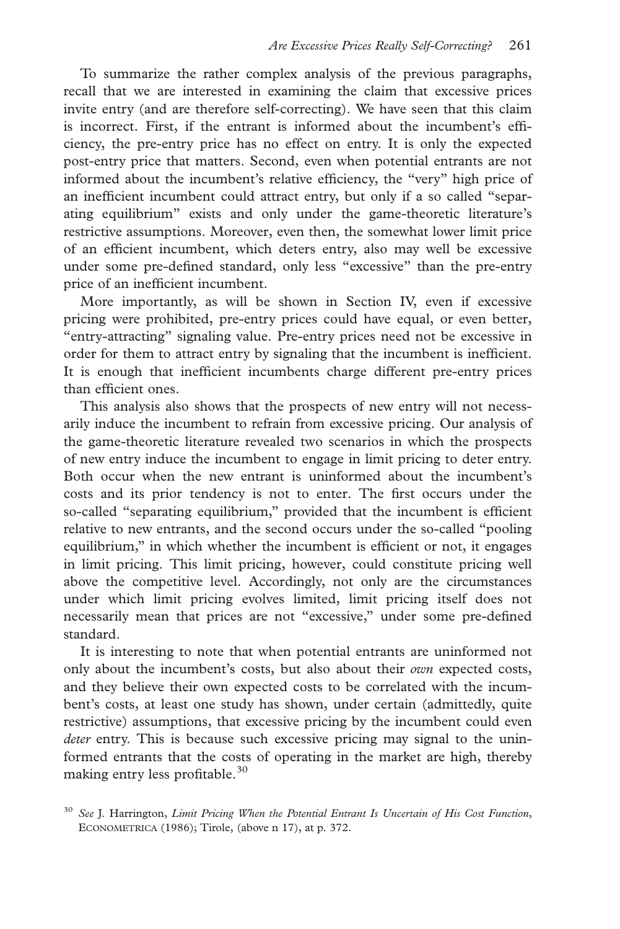To summarize the rather complex analysis of the previous paragraphs, recall that we are interested in examining the claim that excessive prices invite entry (and are therefore self-correcting). We have seen that this claim is incorrect. First, if the entrant is informed about the incumbent's efficiency, the pre-entry price has no effect on entry. It is only the expected post-entry price that matters. Second, even when potential entrants are not informed about the incumbent's relative efficiency, the "very" high price of an inefficient incumbent could attract entry, but only if a so called "separating equilibrium" exists and only under the game-theoretic literature's restrictive assumptions. Moreover, even then, the somewhat lower limit price of an efficient incumbent, which deters entry, also may well be excessive under some pre-defined standard, only less "excessive" than the pre-entry price of an inefficient incumbent.

More importantly, as will be shown in Section IV, even if excessive pricing were prohibited, pre-entry prices could have equal, or even better, "entry-attracting" signaling value. Pre-entry prices need not be excessive in order for them to attract entry by signaling that the incumbent is inefficient. It is enough that inefficient incumbents charge different pre-entry prices than efficient ones.

This analysis also shows that the prospects of new entry will not necessarily induce the incumbent to refrain from excessive pricing. Our analysis of the game-theoretic literature revealed two scenarios in which the prospects of new entry induce the incumbent to engage in limit pricing to deter entry. Both occur when the new entrant is uninformed about the incumbent's costs and its prior tendency is not to enter. The first occurs under the so-called "separating equilibrium," provided that the incumbent is efficient relative to new entrants, and the second occurs under the so-called "pooling equilibrium," in which whether the incumbent is efficient or not, it engages in limit pricing. This limit pricing, however, could constitute pricing well above the competitive level. Accordingly, not only are the circumstances under which limit pricing evolves limited, limit pricing itself does not necessarily mean that prices are not "excessive," under some pre-defined standard.

It is interesting to note that when potential entrants are uninformed not only about the incumbent's costs, but also about their  $own$  expected costs, and they believe their own expected costs to be correlated with the incumbent's costs, at least one study has shown, under certain (admittedly, quite restrictive) assumptions, that excessive pricing by the incumbent could even deter entry. This is because such excessive pricing may signal to the uninformed entrants that the costs of operating in the market are high, thereby making entry less profitable.<sup>30</sup>

 $30$  See J. Harrington, Limit Pricing When the Potential Entrant Is Uncertain of His Cost Function, ECONOMETRICA (1986); Tirole, (above n 17), at p. 372.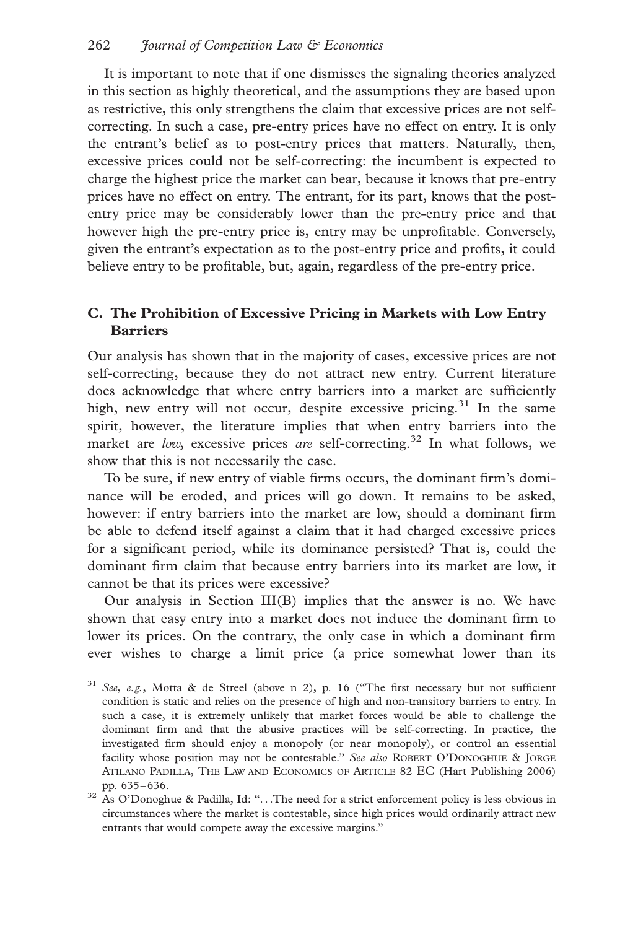It is important to note that if one dismisses the signaling theories analyzed in this section as highly theoretical, and the assumptions they are based upon as restrictive, this only strengthens the claim that excessive prices are not selfcorrecting. In such a case, pre-entry prices have no effect on entry. It is only the entrant's belief as to post-entry prices that matters. Naturally, then, excessive prices could not be self-correcting: the incumbent is expected to charge the highest price the market can bear, because it knows that pre-entry prices have no effect on entry. The entrant, for its part, knows that the postentry price may be considerably lower than the pre-entry price and that however high the pre-entry price is, entry may be unprofitable. Conversely, given the entrant's expectation as to the post-entry price and profits, it could believe entry to be profitable, but, again, regardless of the pre-entry price.

# C. The Prohibition of Excessive Pricing in Markets with Low Entry Barriers

Our analysis has shown that in the majority of cases, excessive prices are not self-correcting, because they do not attract new entry. Current literature does acknowledge that where entry barriers into a market are sufficiently high, new entry will not occur, despite excessive pricing.<sup>31</sup> In the same spirit, however, the literature implies that when entry barriers into the market are low, excessive prices are self-correcting.<sup>32</sup> In what follows, we show that this is not necessarily the case.

To be sure, if new entry of viable firms occurs, the dominant firm's dominance will be eroded, and prices will go down. It remains to be asked, however: if entry barriers into the market are low, should a dominant firm be able to defend itself against a claim that it had charged excessive prices for a significant period, while its dominance persisted? That is, could the dominant firm claim that because entry barriers into its market are low, it cannot be that its prices were excessive?

Our analysis in Section III(B) implies that the answer is no. We have shown that easy entry into a market does not induce the dominant firm to lower its prices. On the contrary, the only case in which a dominant firm ever wishes to charge a limit price (a price somewhat lower than its

 $31$  See, e.g., Motta & de Streel (above n 2), p. 16 ("The first necessary but not sufficient condition is static and relies on the presence of high and non-transitory barriers to entry. In such a case, it is extremely unlikely that market forces would be able to challenge the dominant firm and that the abusive practices will be self-correcting. In practice, the investigated firm should enjoy a monopoly (or near monopoly), or control an essential facility whose position may not be contestable." See also ROBERT O'DONOGHUE & JORGE ATILANO PADILLA, THE LAW AND ECONOMICS OF ARTICLE 82 EC (Hart Publishing 2006)

pp. 635–636. <sup>32</sup> As O'Donoghue & Padilla, Id: "...The need for a strict enforcement policy is less obvious in circumstances where the market is contestable, since high prices would ordinarily attract new entrants that would compete away the excessive margins."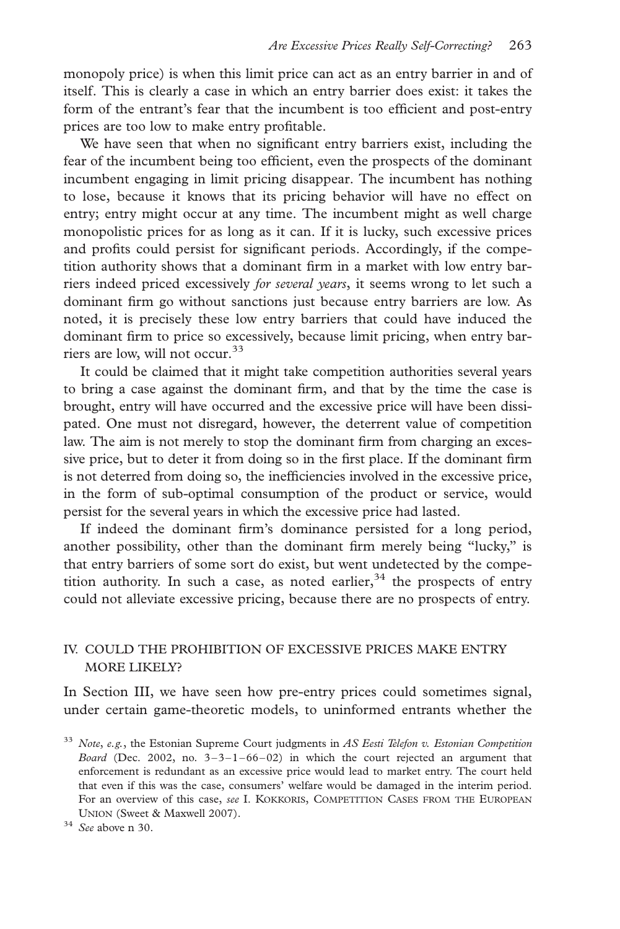monopoly price) is when this limit price can act as an entry barrier in and of itself. This is clearly a case in which an entry barrier does exist: it takes the form of the entrant's fear that the incumbent is too efficient and post-entry prices are too low to make entry profitable.

We have seen that when no significant entry barriers exist, including the fear of the incumbent being too efficient, even the prospects of the dominant incumbent engaging in limit pricing disappear. The incumbent has nothing to lose, because it knows that its pricing behavior will have no effect on entry; entry might occur at any time. The incumbent might as well charge monopolistic prices for as long as it can. If it is lucky, such excessive prices and profits could persist for significant periods. Accordingly, if the competition authority shows that a dominant firm in a market with low entry barriers indeed priced excessively for several years, it seems wrong to let such a dominant firm go without sanctions just because entry barriers are low. As noted, it is precisely these low entry barriers that could have induced the dominant firm to price so excessively, because limit pricing, when entry barriers are low, will not occur.<sup>33</sup>

It could be claimed that it might take competition authorities several years to bring a case against the dominant firm, and that by the time the case is brought, entry will have occurred and the excessive price will have been dissipated. One must not disregard, however, the deterrent value of competition law. The aim is not merely to stop the dominant firm from charging an excessive price, but to deter it from doing so in the first place. If the dominant firm is not deterred from doing so, the inefficiencies involved in the excessive price, in the form of sub-optimal consumption of the product or service, would persist for the several years in which the excessive price had lasted.

If indeed the dominant firm's dominance persisted for a long period, another possibility, other than the dominant firm merely being "lucky," is that entry barriers of some sort do exist, but went undetected by the competition authority. In such a case, as noted earlier,  $34$  the prospects of entry could not alleviate excessive pricing, because there are no prospects of entry.

# IV. COULD THE PROHIBITION OF EXCESSIVE PRICES MAKE ENTRY MORE LIKELY?

In Section III, we have seen how pre-entry prices could sometimes signal, under certain game-theoretic models, to uninformed entrants whether the

 $33$  Note, e.g., the Estonian Supreme Court judgments in AS Eesti Telefon v. Estonian Competition Board (Dec. 2002, no.  $3-3-1-66-02$ ) in which the court rejected an argument that enforcement is redundant as an excessive price would lead to market entry. The court held that even if this was the case, consumers' welfare would be damaged in the interim period. For an overview of this case, see I. KOKKORIS, COMPETITION CASES FROM THE EUROPEAN UNION (Sweet & Maxwell 2007).

 $^{34}\,$  See above n 30.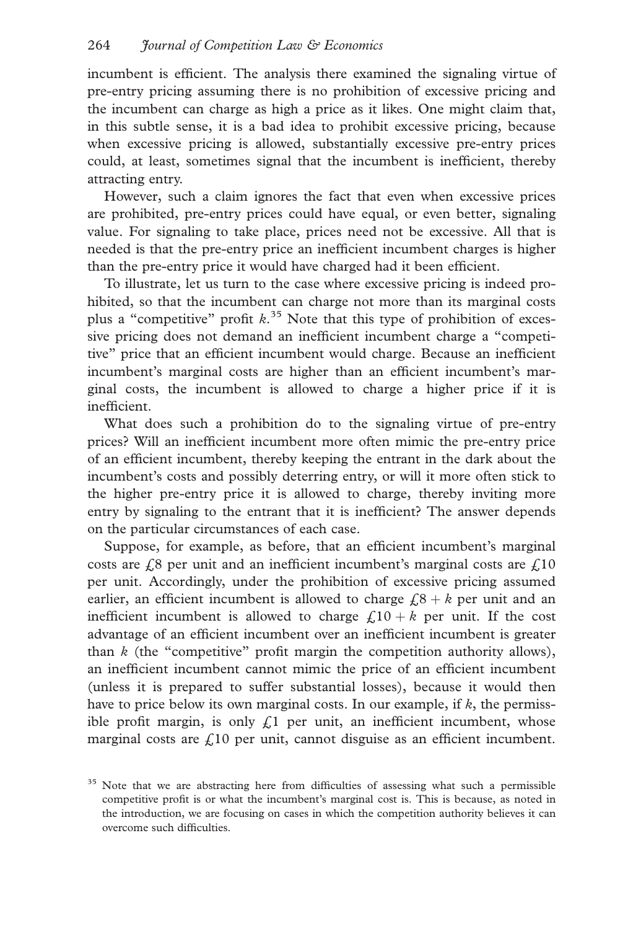incumbent is efficient. The analysis there examined the signaling virtue of pre-entry pricing assuming there is no prohibition of excessive pricing and the incumbent can charge as high a price as it likes. One might claim that, in this subtle sense, it is a bad idea to prohibit excessive pricing, because when excessive pricing is allowed, substantially excessive pre-entry prices could, at least, sometimes signal that the incumbent is inefficient, thereby attracting entry.

However, such a claim ignores the fact that even when excessive prices are prohibited, pre-entry prices could have equal, or even better, signaling value. For signaling to take place, prices need not be excessive. All that is needed is that the pre-entry price an inefficient incumbent charges is higher than the pre-entry price it would have charged had it been efficient.

To illustrate, let us turn to the case where excessive pricing is indeed prohibited, so that the incumbent can charge not more than its marginal costs plus a "competitive" profit  $k^{35}$  Note that this type of prohibition of excessive pricing does not demand an inefficient incumbent charge a "competitive" price that an efficient incumbent would charge. Because an inefficient incumbent's marginal costs are higher than an efficient incumbent's marginal costs, the incumbent is allowed to charge a higher price if it is inefficient.

What does such a prohibition do to the signaling virtue of pre-entry prices? Will an inefficient incumbent more often mimic the pre-entry price of an efficient incumbent, thereby keeping the entrant in the dark about the incumbent's costs and possibly deterring entry, or will it more often stick to the higher pre-entry price it is allowed to charge, thereby inviting more entry by signaling to the entrant that it is inefficient? The answer depends on the particular circumstances of each case.

Suppose, for example, as before, that an efficient incumbent's marginal costs are  $\ell$ .8 per unit and an inefficient incumbent's marginal costs are  $\ell$ .10 per unit. Accordingly, under the prohibition of excessive pricing assumed earlier, an efficient incumbent is allowed to charge  $\sqrt{2}$  k per unit and an inefficient incumbent is allowed to charge  $f(10 + k)$  per unit. If the cost advantage of an efficient incumbent over an inefficient incumbent is greater than  $k$  (the "competitive" profit margin the competition authority allows), an inefficient incumbent cannot mimic the price of an efficient incumbent (unless it is prepared to suffer substantial losses), because it would then have to price below its own marginal costs. In our example, if  $k$ , the permissible profit margin, is only  $f<sub>i</sub>1$  per unit, an inefficient incumbent, whose marginal costs are  $\sqrt{(10)}$  per unit, cannot disguise as an efficient incumbent.

<sup>&</sup>lt;sup>35</sup> Note that we are abstracting here from difficulties of assessing what such a permissible competitive profit is or what the incumbent's marginal cost is. This is because, as noted in the introduction, we are focusing on cases in which the competition authority believes it can overcome such difficulties.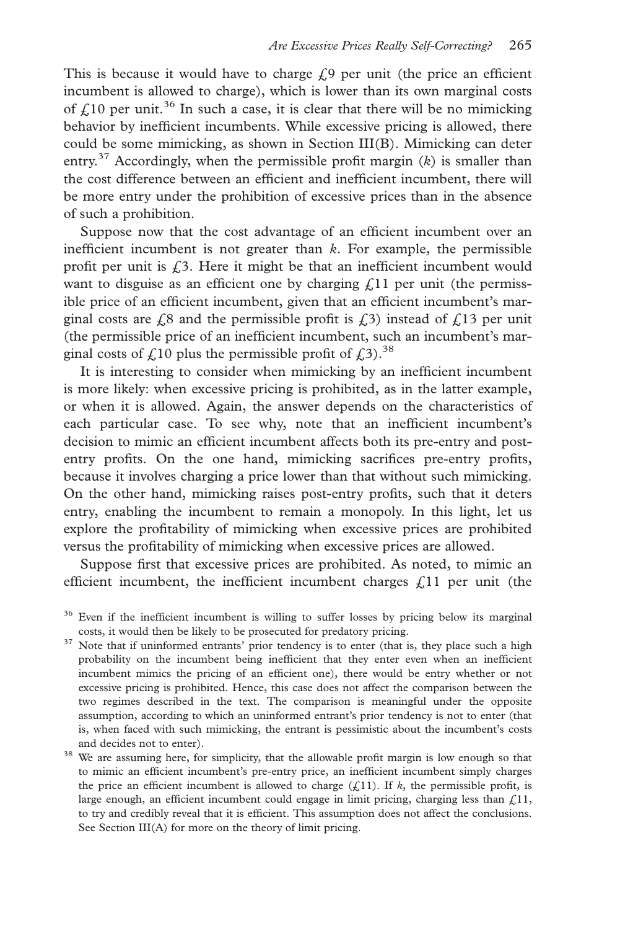This is because it would have to charge  $\zeta$ 9 per unit (the price an efficient incumbent is allowed to charge), which is lower than its own marginal costs of  $\ell$ ,10 per unit.<sup>36</sup> In such a case, it is clear that there will be no mimicking behavior by inefficient incumbents. While excessive pricing is allowed, there could be some mimicking, as shown in Section III(B). Mimicking can deter entry.<sup>37</sup> Accordingly, when the permissible profit margin  $(k)$  is smaller than the cost difference between an efficient and inefficient incumbent, there will be more entry under the prohibition of excessive prices than in the absence of such a prohibition.

Suppose now that the cost advantage of an efficient incumbent over an inefficient incumbent is not greater than  $k$ . For example, the permissible profit per unit is  $f<sub>i</sub>3$ . Here it might be that an inefficient incumbent would want to disguise as an efficient one by charging  $\int_{\mathcal{L}}$  11 per unit (the permissible price of an efficient incumbent, given that an efficient incumbent's marginal costs are  $\zeta$ 8 and the permissible profit is  $\zeta$ 3) instead of  $\zeta$ 13 per unit (the permissible price of an inefficient incumbent, such an incumbent's marginal costs of  $f(10)$  plus the permissible profit of  $f(3)$ .<sup>38</sup>

It is interesting to consider when mimicking by an inefficient incumbent is more likely: when excessive pricing is prohibited, as in the latter example, or when it is allowed. Again, the answer depends on the characteristics of each particular case. To see why, note that an inefficient incumbent's decision to mimic an efficient incumbent affects both its pre-entry and postentry profits. On the one hand, mimicking sacrifices pre-entry profits, because it involves charging a price lower than that without such mimicking. On the other hand, mimicking raises post-entry profits, such that it deters entry, enabling the incumbent to remain a monopoly. In this light, let us explore the profitability of mimicking when excessive prices are prohibited versus the profitability of mimicking when excessive prices are allowed.

Suppose first that excessive prices are prohibited. As noted, to mimic an efficient incumbent, the inefficient incumbent charges  $f<sub>i</sub>11$  per unit (the

 $37$  Note that if uninformed entrants' prior tendency is to enter (that is, they place such a high probability on the incumbent being inefficient that they enter even when an inefficient incumbent mimics the pricing of an efficient one), there would be entry whether or not excessive pricing is prohibited. Hence, this case does not affect the comparison between the two regimes described in the text. The comparison is meaningful under the opposite assumption, according to which an uninformed entrant's prior tendency is not to enter (that is, when faced with such mimicking, the entrant is pessimistic about the incumbent's costs and decides not to enter).

 $36$  Even if the inefficient incumbent is willing to suffer losses by pricing below its marginal costs, it would then be likely to be prosecuted for predatory pricing.

<sup>&</sup>lt;sup>38</sup> We are assuming here, for simplicity, that the allowable profit margin is low enough so that to mimic an efficient incumbent's pre-entry price, an inefficient incumbent simply charges the price an efficient incumbent is allowed to charge  $(f<sub>i</sub>11)$ . If k, the permissible profit, is large enough, an efficient incumbent could engage in limit pricing, charging less than  $\mathcal{L}11$ , to try and credibly reveal that it is efficient. This assumption does not affect the conclusions. See Section III(A) for more on the theory of limit pricing.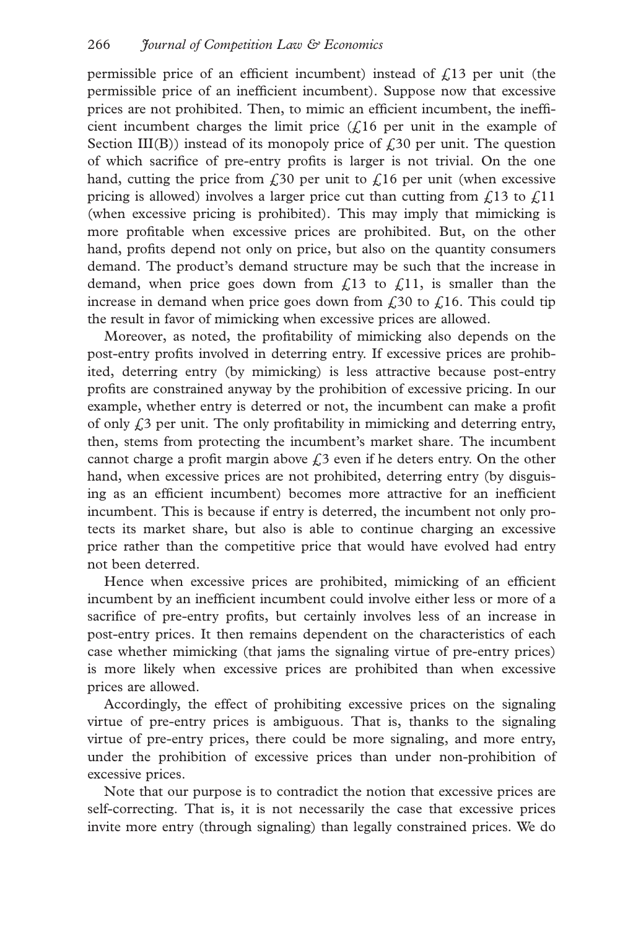permissible price of an efficient incumbent) instead of  $f<sub>1</sub>13$  per unit (the permissible price of an inefficient incumbent). Suppose now that excessive prices are not prohibited. Then, to mimic an efficient incumbent, the inefficient incumbent charges the limit price  $(f16)$  per unit in the example of Section III(B)) instead of its monopoly price of  $f<sub>i</sub>$ 30 per unit. The question of which sacrifice of pre-entry profits is larger is not trivial. On the one hand, cutting the price from  $\text{\emph{L}}30$  per unit to  $\text{\emph{L}}16$  per unit (when excessive pricing is allowed) involves a larger price cut than cutting from  $\ell$ , 13 to  $\ell$ , 11 (when excessive pricing is prohibited). This may imply that mimicking is more profitable when excessive prices are prohibited. But, on the other hand, profits depend not only on price, but also on the quantity consumers demand. The product's demand structure may be such that the increase in demand, when price goes down from  $\mathcal{L}$ 13 to  $\mathcal{L}$ 11, is smaller than the increase in demand when price goes down from  $\ell$ ,30 to  $\ell$ ,16. This could tip the result in favor of mimicking when excessive prices are allowed.

Moreover, as noted, the profitability of mimicking also depends on the post-entry profits involved in deterring entry. If excessive prices are prohibited, deterring entry (by mimicking) is less attractive because post-entry profits are constrained anyway by the prohibition of excessive pricing. In our example, whether entry is deterred or not, the incumbent can make a profit of only  $\zeta$ 3 per unit. The only profitability in mimicking and deterring entry, then, stems from protecting the incumbent's market share. The incumbent cannot charge a profit margin above  $\ell$ , 3 even if he deters entry. On the other hand, when excessive prices are not prohibited, deterring entry (by disguising as an efficient incumbent) becomes more attractive for an inefficient incumbent. This is because if entry is deterred, the incumbent not only protects its market share, but also is able to continue charging an excessive price rather than the competitive price that would have evolved had entry not been deterred.

Hence when excessive prices are prohibited, mimicking of an efficient incumbent by an inefficient incumbent could involve either less or more of a sacrifice of pre-entry profits, but certainly involves less of an increase in post-entry prices. It then remains dependent on the characteristics of each case whether mimicking (that jams the signaling virtue of pre-entry prices) is more likely when excessive prices are prohibited than when excessive prices are allowed.

Accordingly, the effect of prohibiting excessive prices on the signaling virtue of pre-entry prices is ambiguous. That is, thanks to the signaling virtue of pre-entry prices, there could be more signaling, and more entry, under the prohibition of excessive prices than under non-prohibition of excessive prices.

Note that our purpose is to contradict the notion that excessive prices are self-correcting. That is, it is not necessarily the case that excessive prices invite more entry (through signaling) than legally constrained prices. We do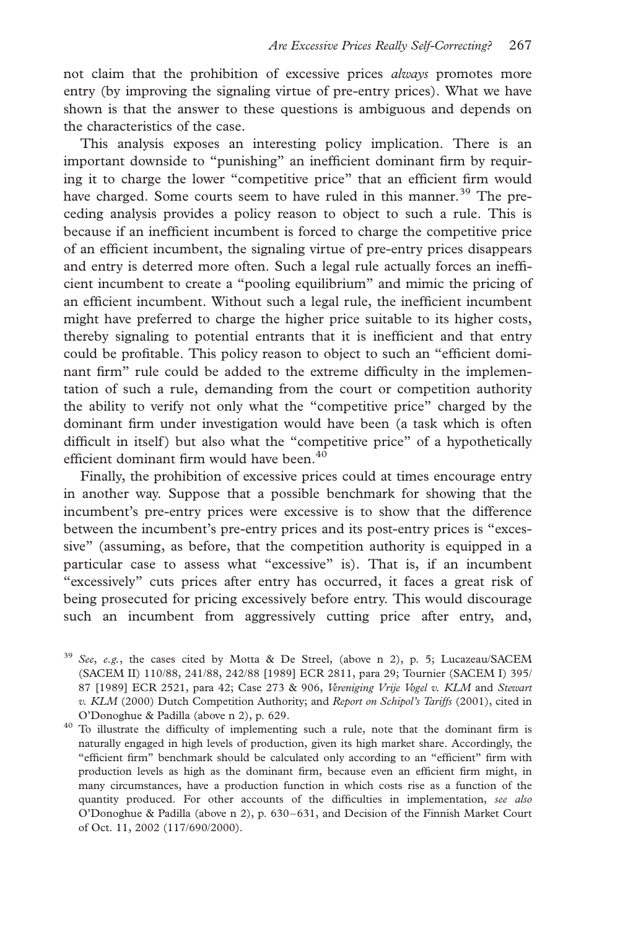not claim that the prohibition of excessive prices always promotes more entry (by improving the signaling virtue of pre-entry prices). What we have shown is that the answer to these questions is ambiguous and depends on the characteristics of the case.

This analysis exposes an interesting policy implication. There is an important downside to "punishing" an inefficient dominant firm by requiring it to charge the lower "competitive price" that an efficient firm would have charged. Some courts seem to have ruled in this manner.<sup>39</sup> The preceding analysis provides a policy reason to object to such a rule. This is because if an inefficient incumbent is forced to charge the competitive price of an efficient incumbent, the signaling virtue of pre-entry prices disappears and entry is deterred more often. Such a legal rule actually forces an inefficient incumbent to create a "pooling equilibrium" and mimic the pricing of an efficient incumbent. Without such a legal rule, the inefficient incumbent might have preferred to charge the higher price suitable to its higher costs, thereby signaling to potential entrants that it is inefficient and that entry could be profitable. This policy reason to object to such an "efficient dominant firm" rule could be added to the extreme difficulty in the implementation of such a rule, demanding from the court or competition authority the ability to verify not only what the "competitive price" charged by the dominant firm under investigation would have been (a task which is often difficult in itself) but also what the "competitive price" of a hypothetically efficient dominant firm would have been.<sup>40</sup>

Finally, the prohibition of excessive prices could at times encourage entry in another way. Suppose that a possible benchmark for showing that the incumbent's pre-entry prices were excessive is to show that the difference between the incumbent's pre-entry prices and its post-entry prices is "excessive" (assuming, as before, that the competition authority is equipped in a particular case to assess what "excessive" is). That is, if an incumbent "excessively" cuts prices after entry has occurred, it faces a great risk of being prosecuted for pricing excessively before entry. This would discourage such an incumbent from aggressively cutting price after entry, and,

<sup>&</sup>lt;sup>39</sup> See, e.g., the cases cited by Motta & De Streel, (above n 2), p. 5; Lucazeau/SACEM (SACEM II) 110/88, 241/88, 242/88 [1989] ECR 2811, para 29; Tournier (SACEM I) 395/ 87 [1989] ECR 2521, para 42; Case 273 & 906, Vereniging Vrije Vogel v. KLM and Stewart v. KLM (2000) Dutch Competition Authority; and Report on Schipol's Tariffs (2001), cited in O'Donoghue & Padilla (above n 2), p. 629.<br><sup>40</sup> To illustrate the difficulty of implementing such a rule, note that the dominant firm is

naturally engaged in high levels of production, given its high market share. Accordingly, the "efficient firm" benchmark should be calculated only according to an "efficient" firm with production levels as high as the dominant firm, because even an efficient firm might, in many circumstances, have a production function in which costs rise as a function of the quantity produced. For other accounts of the difficulties in implementation, see also O'Donoghue & Padilla (above n 2), p. 630–631, and Decision of the Finnish Market Court of Oct. 11, 2002 (117/690/2000).